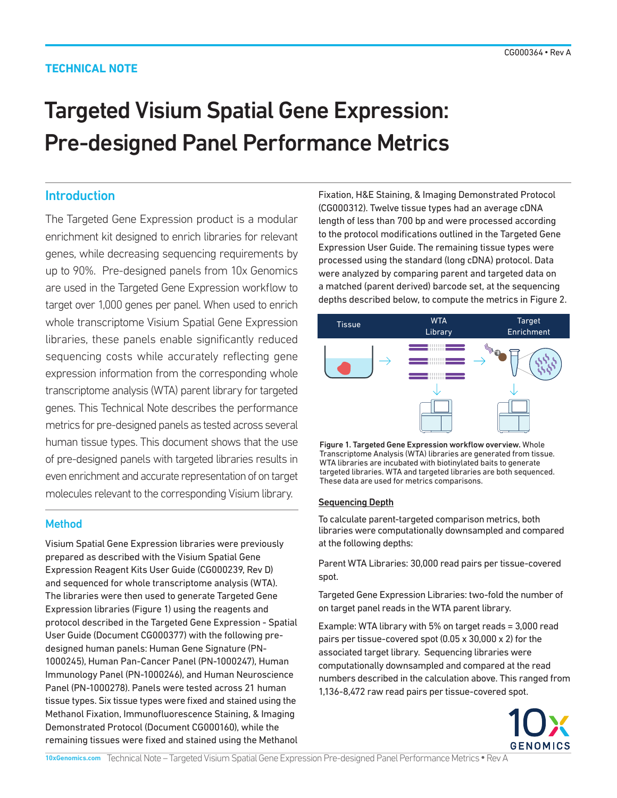# **TECHNICAL NOTE**

# Targeted Visium Spatial Gene Expression: Pre-designed Panel Performance Metrics

# **Introduction**

The Targeted Gene Expression product is a modular enrichment kit designed to enrich libraries for relevant genes, while decreasing sequencing requirements by up to 90%. Pre-designed panels from 10x Genomics are used in the Targeted Gene Expression workflow to target over 1,000 genes per panel. When used to enrich whole transcriptome Visium Spatial Gene Expression libraries, these panels enable significantly reduced sequencing costs while accurately reflecting gene expression information from the corresponding whole transcriptome analysis (WTA) parent library for targeted genes. This Technical Note describes the performance metrics for pre-designed panels as tested across several human tissue types. This document shows that the use of pre-designed panels with targeted libraries results in even enrichment and accurate representation of on target molecules relevant to the corresponding Visium library.

# Method

Visium Spatial Gene Expression libraries were previously prepared as described with the Visium Spatial Gene Expression Reagent Kits User Guide (CG000239, Rev D) and sequenced for whole transcriptome analysis (WTA). The libraries were then used to generate Targeted Gene Expression libraries (Figure 1) using the reagents and protocol described in the Targeted Gene Expression - Spatial User Guide (Document CG000377) with the following predesigned human panels: Human Gene Signature (PN-1000245), Human Pan-Cancer Panel (PN-1000247), Human Immunology Panel (PN-1000246), and Human Neuroscience Panel (PN-1000278). Panels were tested across 21 human tissue types. Six tissue types were fixed and stained using the Methanol Fixation, Immunofluorescence Staining, & Imaging Demonstrated Protocol (Document CG000160), while the remaining tissues were fixed and stained using the Methanol Fixation, H&E Staining, & Imaging Demonstrated Protocol (CG000312). Twelve tissue types had an average cDNA length of less than 700 bp and were processed according to the protocol modifications outlined in the Targeted Gene Expression User Guide. The remaining tissue types were processed using the standard (long cDNA) protocol. Data were analyzed by comparing parent and targeted data on a matched (parent derived) barcode set, at the sequencing depths described below, to compute the metrics in Figure 2.



Figure 1. Targeted Gene Expression workflow overview. Whole Transcriptome Analysis (WTA) libraries are generated from tissue. WTA libraries are incubated with biotinylated baits to generate targeted libraries. WTA and targeted libraries are both sequenced. These data are used for metrics comparisons.

#### Sequencing Depth

To calculate parent-targeted comparison metrics, both libraries were computationally downsampled and compared at the following depths:

Parent WTA Libraries: 30,000 read pairs per tissue-covered spot.

Targeted Gene Expression Libraries: two-fold the number of on target panel reads in the WTA parent library.

Example: WTA library with 5% on target reads = 3,000 read pairs per tissue-covered spot (0.05 x 30,000 x 2) for the associated target library. Sequencing libraries were computationally downsampled and compared at the read numbers described in the calculation above. This ranged from 1,136-8,472 raw read pairs per tissue-covered spot.

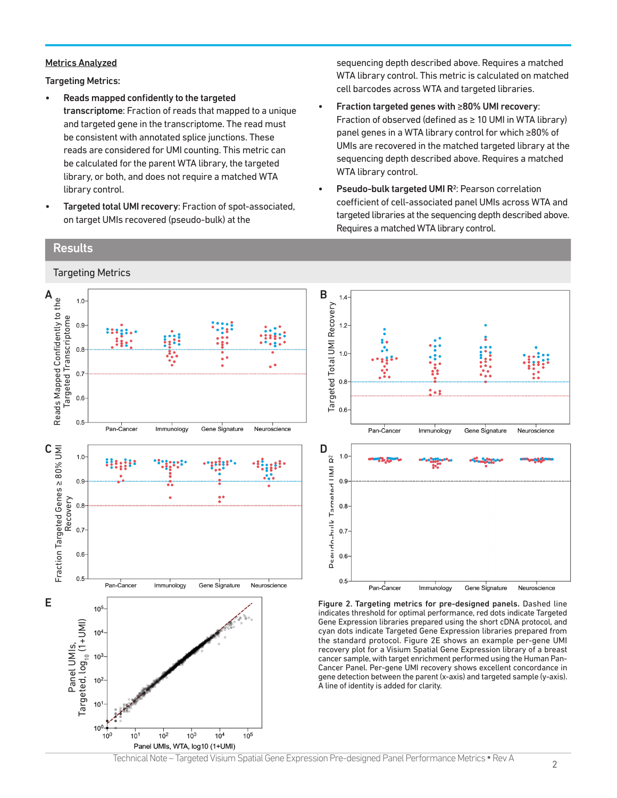#### Metrics Analyzed

Targeting Metrics:

- Reads mapped confidently to the targeted transcriptome: Fraction of reads that mapped to a unique and targeted gene in the transcriptome. The read must be consistent with annotated splice junctions. These reads are considered for UMI counting. This metric can be calculated for the parent WTA library, the targeted library, or both, and does not require a matched WTA library control.
- Targeted total UMI recovery: Fraction of spot-associated, on target UMIs recovered (pseudo-bulk) at the

sequencing depth described above. Requires a matched WTA library control. This metric is calculated on matched cell barcodes across WTA and targeted libraries.

- Fraction targeted genes with ≥80% UMI recovery: Fraction of observed (defined as  $\geq 10$  UMI in WTA library) panel genes in a WTA library control for which ≥80% of UMIs are recovered in the matched targeted library at the sequencing depth described above. Requires a matched WTA library control.
- Pseudo-bulk targeted UMI R<sup>2</sup>: Pearson correlation coefficient of cell-associated panel UMIs across WTA and targeted libraries at the sequencing depth described above. Requires a matched WTA library control.

## **Results**

Targeting Metrics

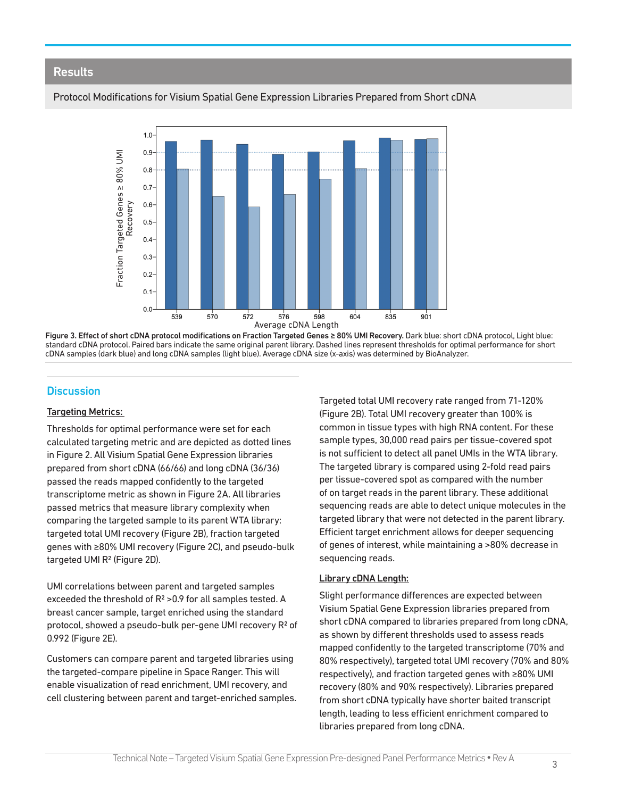### **Results**

#### Protocol Modifications for Visium Spatial Gene Expression Libraries Prepared from Short cDNA



Figure 3. Effect of short cDNA protocol modifications on Fraction Targeted Genes ≥ 80% UMI Recovery. Dark blue: short cDNA protocol, Light blue: standard cDNA protocol. Paired bars indicate the same original parent library. Dashed lines represent thresholds for optimal performance for short<br>cDNA samples (dark blue) and long cDNA samples (light blue). Average cDNA s

### **Discussion**

#### Targeting Metrics:

Thresholds for optimal performance were set for each calculated targeting metric and are depicted as dotted lines in Figure 2. All Visium Spatial Gene Expression libraries prepared from short cDNA (66/66) and long cDNA (36/36) passed the reads mapped confidently to the targeted transcriptome metric as shown in Figure 2A. All libraries passed metrics that measure library complexity when comparing the targeted sample to its parent WTA library: targeted total UMI recovery (Figure 2B), fraction targeted genes with ≥80% UMI recovery (Figure 2C), and pseudo-bulk targeted UMI R<sup>2</sup> (Figure 2D).

UMI correlations between parent and targeted samples exceeded the threshold of R2 >0.9 for all samples tested. A breast cancer sample, target enriched using the standard protocol, showed a pseudo-bulk per-gene UMI recovery R<sup>2</sup> of 0.992 (Figure 2E).

Customers can compare parent and targeted libraries using the targeted-compare pipeline in Space Ranger. This will enable visualization of read enrichment, UMI recovery, and cell clustering between parent and target-enriched samples.

Targeted total UMI recovery rate ranged from 71-120% (Figure 2B). Total UMI recovery greater than 100% is common in tissue types with high RNA content. For these sample types, 30,000 read pairs per tissue-covered spot is not sufficient to detect all panel UMIs in the WTA library. The targeted library is compared using 2-fold read pairs per tissue-covered spot as compared with the number of on target reads in the parent library. These additional sequencing reads are able to detect unique molecules in the targeted library that were not detected in the parent library. Efficient target enrichment allows for deeper sequencing of genes of interest, while maintaining a >80% decrease in sequencing reads.

#### Library cDNA Length:

Slight performance differences are expected between Visium Spatial Gene Expression libraries prepared from short cDNA compared to libraries prepared from long cDNA, as shown by different thresholds used to assess reads mapped confidently to the targeted transcriptome (70% and 80% respectively), targeted total UMI recovery (70% and 80% respectively), and fraction targeted genes with ≥80% UMI recovery (80% and 90% respectively). Libraries prepared from short cDNA typically have shorter baited transcript length, leading to less efficient enrichment compared to libraries prepared from long cDNA.